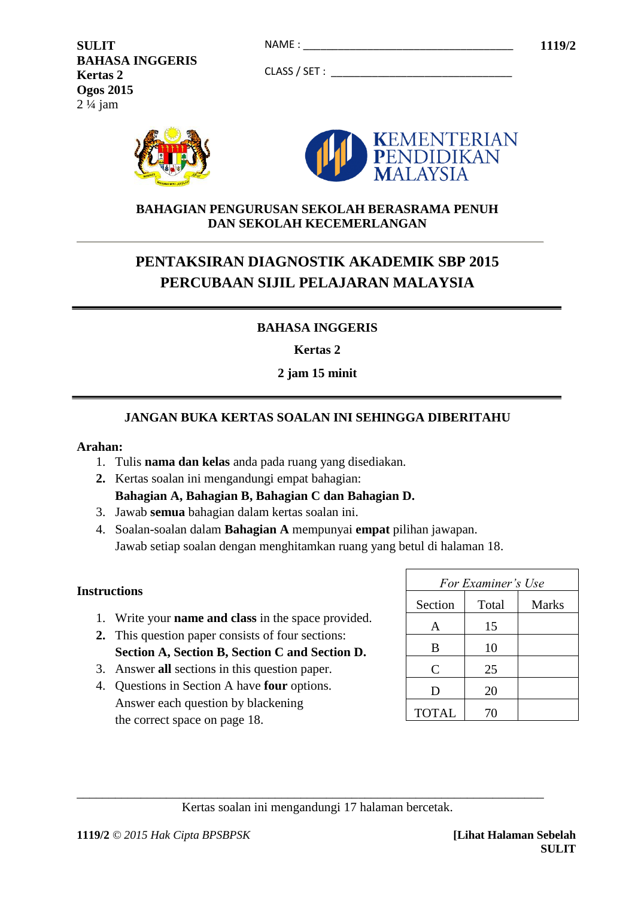**SULIT 1119/2** NAME : \_\_\_\_\_\_\_\_\_\_\_\_\_\_\_\_\_\_\_\_\_\_\_\_\_\_\_\_\_\_\_\_\_\_\_\_ **BAHASA INGGERIS Kertas 2 Ogos 2015** 2 ¼ jam

CLASS / SET : \_\_\_\_\_\_\_\_\_\_\_\_\_\_\_\_\_\_\_\_\_\_\_\_\_\_\_\_\_\_\_



#### **BAHAGIAN PENGURUSAN SEKOLAH BERASRAMA PENUH DAN SEKOLAH KECEMERLANGAN**

# **PENTAKSIRAN DIAGNOSTIK AKADEMIK SBP 2015 PERCUBAAN SIJIL PELAJARAN MALAYSIA**

# **BAHASA INGGERIS**

**Kertas 2**

**2 jam 15 minit**

# **JANGAN BUKA KERTAS SOALAN INI SEHINGGA DIBERITAHU**

#### **Arahan:**

- 1. Tulis **nama dan kelas** anda pada ruang yang disediakan.
- **2.** Kertas soalan ini mengandungi empat bahagian: **Bahagian A, Bahagian B, Bahagian C dan Bahagian D.**
- 3. Jawab **semua** bahagian dalam kertas soalan ini.
- 4. Soalan-soalan dalam **Bahagian A** mempunyai **empat** pilihan jawapan. Jawab setiap soalan dengan menghitamkan ruang yang betul di halaman 18.

#### **Instructions**

- 1. Write your **name and class** in the space provided.
- **2.** This question paper consists of four sections: **Section A, Section B, Section C and Section D.**
- 3. Answer **all** sections in this question paper.
- 4. Questions in Section A have **four** options. Answer each question by blackening the correct space on page 18.

| For Examiner's Use |       |       |
|--------------------|-------|-------|
| Section            | Total | Marks |
| A                  | 15    |       |
| B                  | 10    |       |
| $\mathsf{C}$       | 25    |       |
| D                  | 20    |       |
| <b>TOTAL</b>       | 70    |       |

Kertas soalan ini mengandungi 17 halaman bercetak.

\_\_\_\_\_\_\_\_\_\_\_\_\_\_\_\_\_\_\_\_\_\_\_\_\_\_\_\_\_\_\_\_\_\_\_\_\_\_\_\_\_\_\_\_\_\_\_\_\_\_\_\_\_\_\_\_\_\_\_\_\_\_\_\_\_\_\_\_\_\_\_\_\_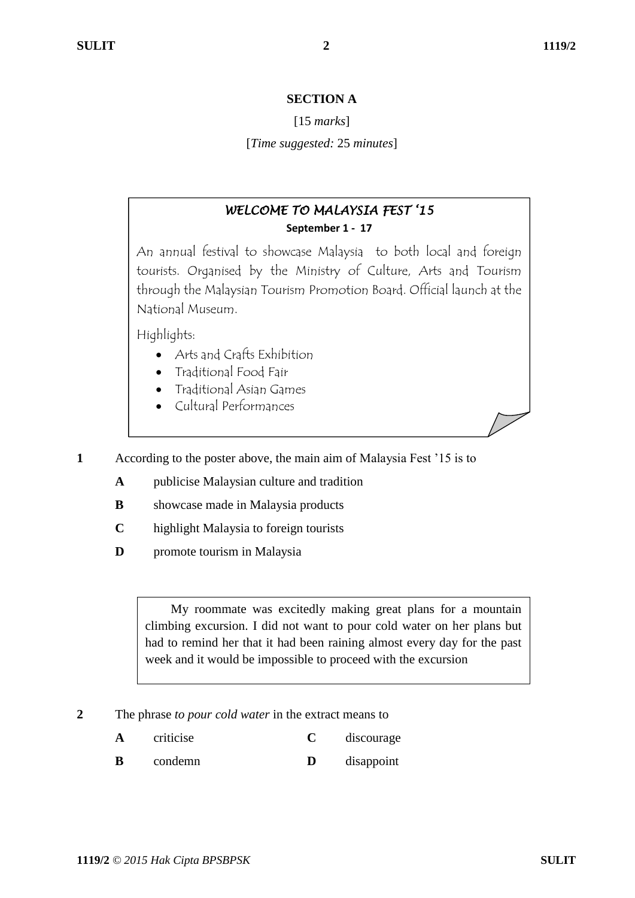#### **SECTION A**

#### [15 *marks*]

[*Time suggested:* 25 *minutes*]

# *WELCOME TO MALAYSIA FEST '15*  **September 1 - 17**

An annual festival to showcase Malaysia to both local and foreign tourists. Organised by the Ministry of Culture, Arts and Tourism through the Malaysian Tourism Promotion Board. Official launch at the National Museum.

Highlights:

- Arts and Crafts Exhibition
- Traditional Food Fair
- Traditional Asian Games
- Cultural Performances

**1** According to the poster above, the main aim of Malaysia Fest "15 is to

- **A** publicise Malaysian culture and tradition
- **B** showcase made in Malaysia products
- **C** highlight Malaysia to foreign tourists
- **D** promote tourism in Malaysia

 My roommate was excitedly making great plans for a mountain climbing excursion. I did not want to pour cold water on her plans but had to remind her that it had been raining almost every day for the past week and it would be impossible to proceed with the excursion

- **2** The phrase *to pour cold water* in the extract means to
	- **A** criticise **C** discourage
	- **B** condemn **D** disappoint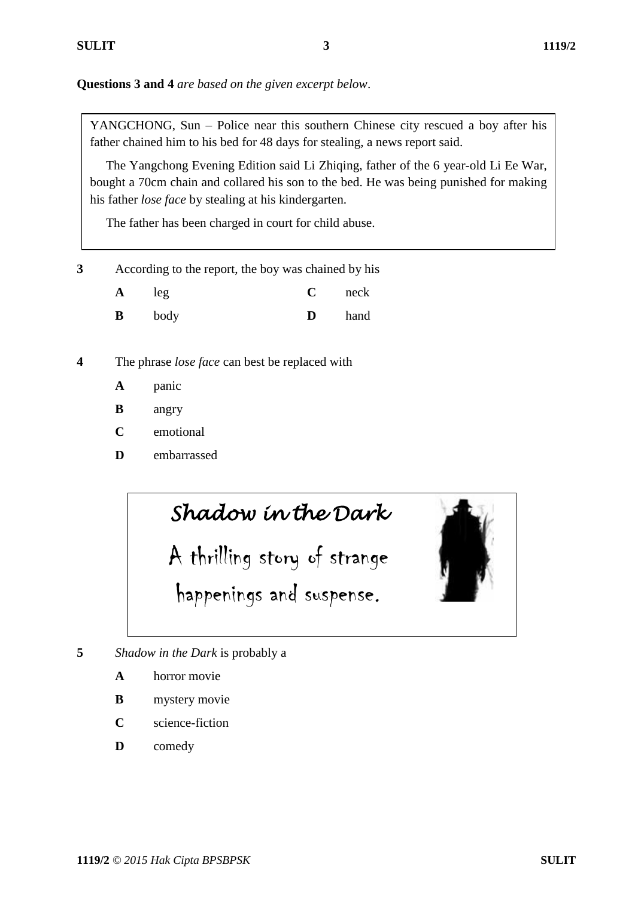**Questions 3 and 4** *are based on the given excerpt below*.

YANGCHONG, Sun – Police near this southern Chinese city rescued a boy after his father chained him to his bed for 48 days for stealing, a news report said.

 The Yangchong Evening Edition said Li Zhiqing, father of the 6 year-old Li Ee War, bought a 70cm chain and collared his son to the bed. He was being punished for making his father *lose face* by stealing at his kindergarten.

The father has been charged in court for child abuse.

**3** According to the report, the boy was chained by his

| A | leg  |   | neck |
|---|------|---|------|
| B | body | D | hand |

**4** The phrase *lose face* can best be replaced with

- **A** panic
- **B** angry
- **C** emotional
- **D** embarrassed

*Shadow in the Dark* 

A thrilling story of strange happenings and suspense.



**5** *Shadow in the Dark* is probably a

- **A** horror movie
- **B** mystery movie
- **C** science-fiction
- **D** comedy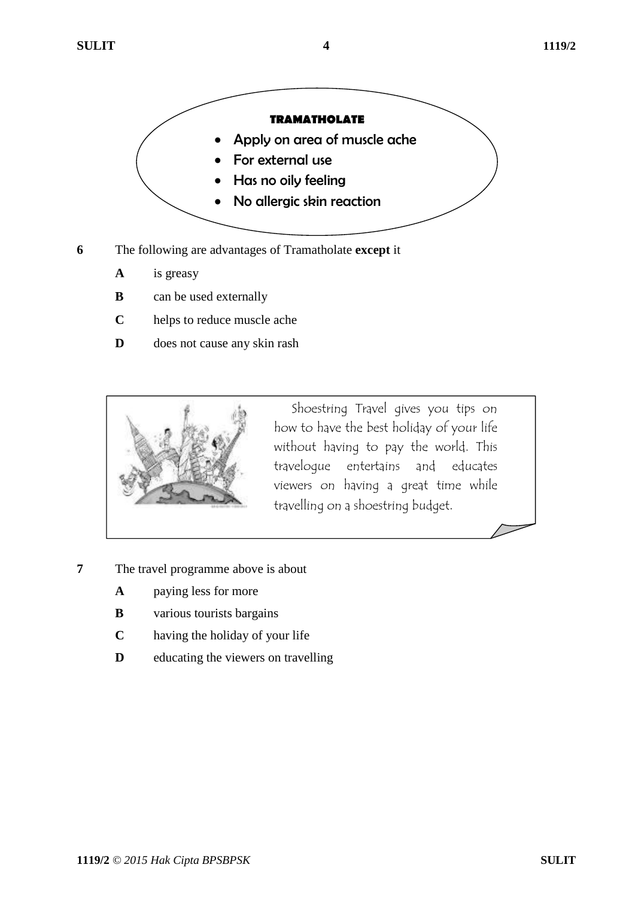

- **6** The following are advantages of Tramatholate **except** it
	- **A** is greasy
	- **B** can be used externally
	- **C** helps to reduce muscle ache
	- **D** does not cause any skin rash



 Shoestring Travel gives you tips on how to have the best holiday of your life without having to pay the world. This travelogue entertains and educates viewers on having a great time while travelling on a shoestring budget.

- **7** The travel programme above is about
	- **A** paying less for more
	- **B** various tourists bargains
	- **C** having the holiday of your life
	- **D** educating the viewers on travelling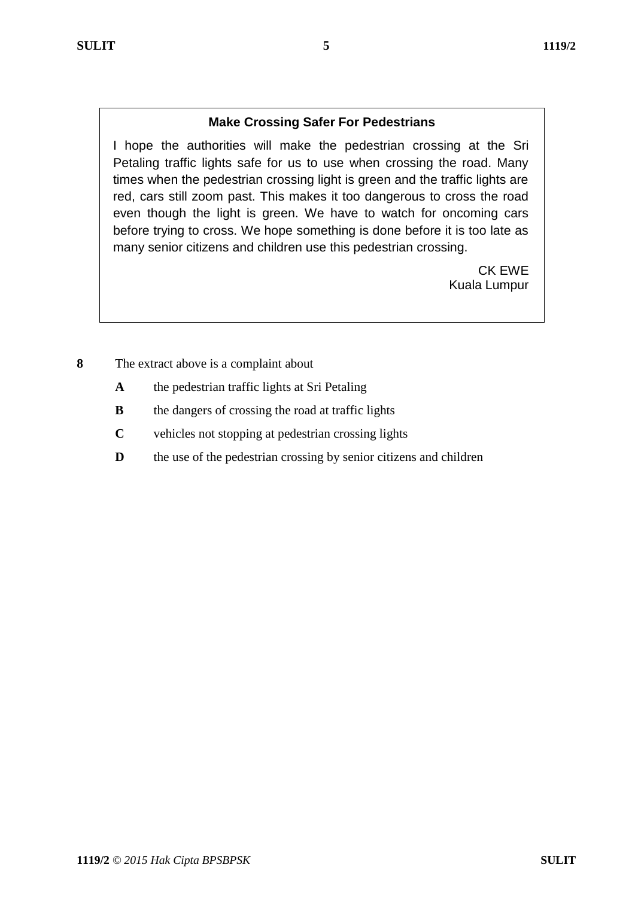# **Make Crossing Safer For Pedestrians**

I hope the authorities will make the pedestrian crossing at the Sri Petaling traffic lights safe for us to use when crossing the road. Many times when the pedestrian crossing light is green and the traffic lights are red, cars still zoom past. This makes it too dangerous to cross the road even though the light is green. We have to watch for oncoming cars before trying to cross. We hope something is done before it is too late as many senior citizens and children use this pedestrian crossing.

> CK EWE Kuala Lumpur

- **8** The extract above is a complaint about
	- **A** the pedestrian traffic lights at Sri Petaling
	- **B** the dangers of crossing the road at traffic lights
	- **C** vehicles not stopping at pedestrian crossing lights
	- **D** the use of the pedestrian crossing by senior citizens and children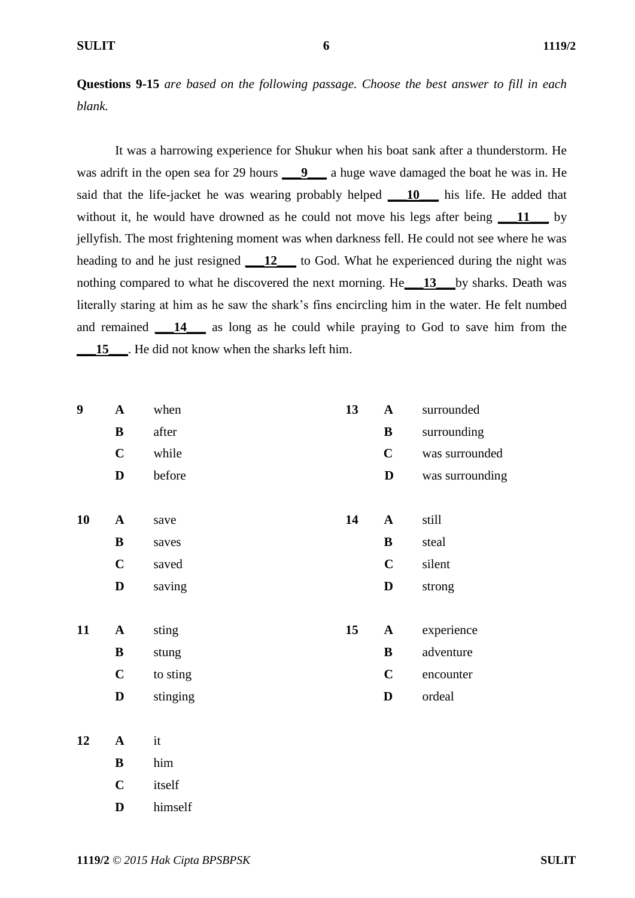**Questions 9-15** *are based on the following passage. Choose the best answer to fill in each blank.*

It was a harrowing experience for Shukur when his boat sank after a thunderstorm. He was adrift in the open sea for 29 hours **10.4** a huge wave damaged the boat he was in. He said that the life-jacket he was wearing probably helped **\_\_\_10\_\_\_** his life. He added that without it, he would have drowned as he could not move his legs after being **11** by jellyfish. The most frightening moment was when darkness fell. He could not see where he was heading to and he just resigned **\_\_\_12\_\_\_** to God. What he experienced during the night was nothing compared to what he discovered the next morning. He**\_\_\_13\_\_\_**by sharks. Death was literally staring at him as he saw the shark"s fins encircling him in the water. He felt numbed and remained **\_\_\_14\_\_\_** as long as he could while praying to God to save him from the 15\_\_\_\_. He did not know when the sharks left him.

| 9  | $\mathbf A$  | when     | 13 | $\mathbf{A}$ | surrounded      |
|----|--------------|----------|----|--------------|-----------------|
|    | $\bf{B}$     | after    |    | $\bf{B}$     | surrounding     |
|    | $\mathbf C$  | while    |    | $\mathbf C$  | was surrounded  |
|    | D            | before   |    | $\mathbf D$  | was surrounding |
|    |              |          |    |              |                 |
| 10 | $\mathbf{A}$ | save     | 14 | $\mathbf{A}$ | still           |
|    | $\bf{B}$     | saves    |    | ${\bf B}$    | steal           |
|    | $\mathbf C$  | saved    |    | $\mathbf C$  | silent          |
|    | D            | saving   |    | $\mathbf D$  | strong          |
|    |              |          |    |              |                 |
| 11 | $\mathbf{A}$ | sting    | 15 | $\mathbf{A}$ | experience      |
|    | ${\bf B}$    | stung    |    | $\bf{B}$     | adventure       |
|    | $\mathbf C$  | to sting |    | $\mathbf C$  | encounter       |
|    | D            | stinging |    | D            | ordeal          |
|    |              |          |    |              |                 |

# **12 A** it **B** him **C** itself

**D** himself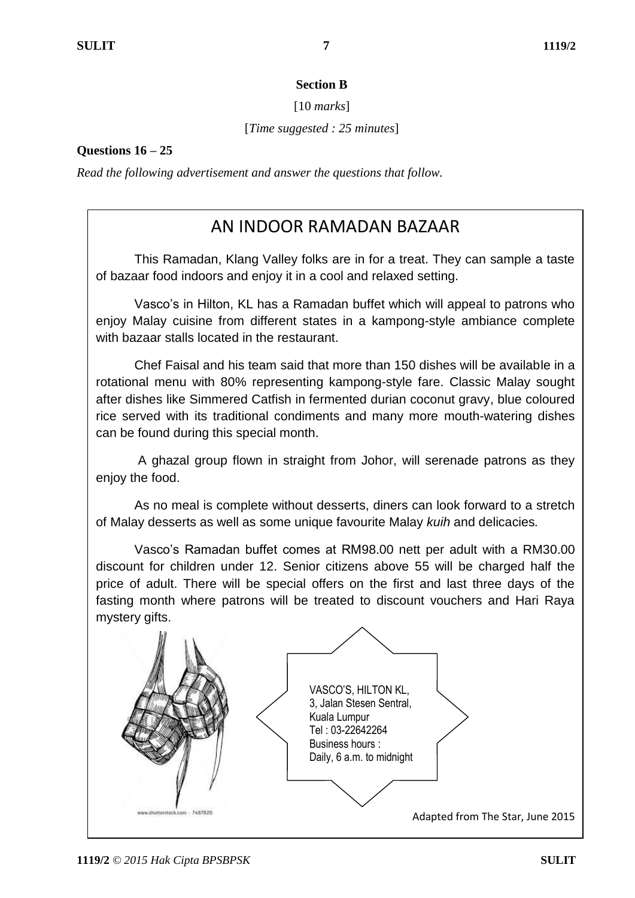## **Section B**

[10 *marks*]

[*Time suggested : 25 minutes*]

**Questions 16 – 25**

*Read the following advertisement and answer the questions that follow.* 

# AN INDOOR RAMADAN BAZAAR

This Ramadan, Klang Valley folks are in for a treat. They can sample a taste of bazaar food indoors and enjoy it in a cool and relaxed setting.

Vasco's in Hilton, KL has a Ramadan buffet which will appeal to patrons who enjoy Malay cuisine from different states in a kampong-style ambiance complete with bazaar stalls located in the restaurant.

Chef Faisal and his team said that more than 150 dishes will be available in a rotational menu with 80% representing kampong-style fare. Classic Malay sought after dishes like Simmered Catfish in fermented durian coconut gravy, blue coloured rice served with its traditional condiments and many more mouth-watering dishes can be found during this special month.

A ghazal group flown in straight from Johor, will serenade patrons as they enjoy the food.

As no meal is complete without desserts, diners can look forward to a stretch of Malay desserts as well as some unique favourite Malay *kuih* and delicacies*.*

Vasco's Ramadan buffet comes at RM98.00 nett per adult with a RM30.00 discount for children under 12. Senior citizens above 55 will be charged half the price of adult. There will be special offers on the first and last three days of the fasting month where patrons will be treated to discount vouchers and Hari Raya mystery gifts.

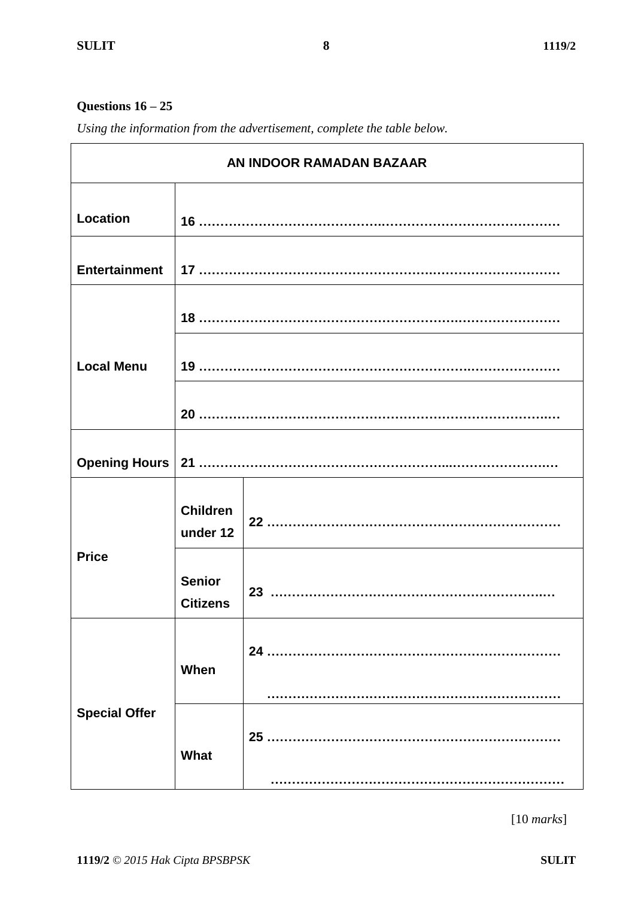## **Questions 16 – 25**

*Using the information from the advertisement, complete the table below.*

| AN INDOOR RAMADAN BAZAAR |                                  |    |  |
|--------------------------|----------------------------------|----|--|
| <b>Location</b>          |                                  |    |  |
| <b>Entertainment</b>     |                                  |    |  |
|                          |                                  |    |  |
| <b>Local Menu</b>        |                                  |    |  |
|                          |                                  |    |  |
| <b>Opening Hours</b>     |                                  |    |  |
|                          | <b>Children</b><br>under 12      |    |  |
| <b>Price</b>             | <b>Senior</b><br><b>Citizens</b> |    |  |
|                          | When                             | 24 |  |
| <b>Special Offer</b>     | What                             |    |  |

[10 *marks*]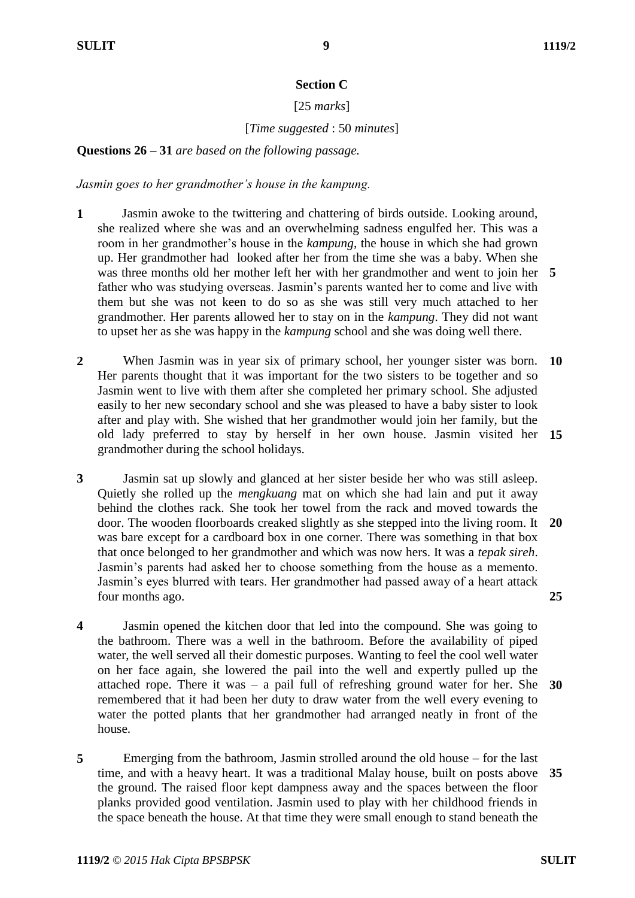### **Section C**

## [25 *marks*]

# [*Time suggested* : 50 *minutes*]

**Questions 26 – 31** *are based on the following passage.*

*Jasmin goes to her grandmother's house in the kampung.*

- **1** Jasmin awoke to the twittering and chattering of birds outside. Looking around, she realized where she was and an overwhelming sadness engulfed her. This was a room in her grandmother"s house in the *kampung*, the house in which she had grown up. Her grandmother had looked after her from the time she was a baby. When she was three months old her mother left her with her grandmother and went to join her **5** father who was studying overseas. Jasmin"s parents wanted her to come and live with them but she was not keen to do so as she was still very much attached to her grandmother. Her parents allowed her to stay on in the *kampung*. They did not want to upset her as she was happy in the *kampung* school and she was doing well there.
- **2** When Jasmin was in year six of primary school, her younger sister was born. Her parents thought that it was important for the two sisters to be together and so Jasmin went to live with them after she completed her primary school. She adjusted easily to her new secondary school and she was pleased to have a baby sister to look after and play with. She wished that her grandmother would join her family, but the old lady preferred to stay by herself in her own house. Jasmin visited her **15** grandmother during the school holidays. **10**
- **3** Jasmin sat up slowly and glanced at her sister beside her who was still asleep. Quietly she rolled up the *mengkuang* mat on which she had lain and put it away behind the clothes rack. She took her towel from the rack and moved towards the door. The wooden floorboards creaked slightly as she stepped into the living room. It was bare except for a cardboard box in one corner. There was something in that box that once belonged to her grandmother and which was now hers. It was a *tepak sireh*. Jasmin"s parents had asked her to choose something from the house as a memento. Jasmin's eyes blurred with tears. Her grandmother had passed away of a heart attack four months ago. **20 25**
- **4** Jasmin opened the kitchen door that led into the compound. She was going to the bathroom. There was a well in the bathroom. Before the availability of piped water, the well served all their domestic purposes. Wanting to feel the cool well water on her face again, she lowered the pail into the well and expertly pulled up the attached rope. There it was – a pail full of refreshing ground water for her. She **30** remembered that it had been her duty to draw water from the well every evening to water the potted plants that her grandmother had arranged neatly in front of the house.
- **5** Emerging from the bathroom, Jasmin strolled around the old house – for the last time, and with a heavy heart. It was a traditional Malay house, built on posts above **35**the ground. The raised floor kept dampness away and the spaces between the floor planks provided good ventilation. Jasmin used to play with her childhood friends in the space beneath the house. At that time they were small enough to stand beneath the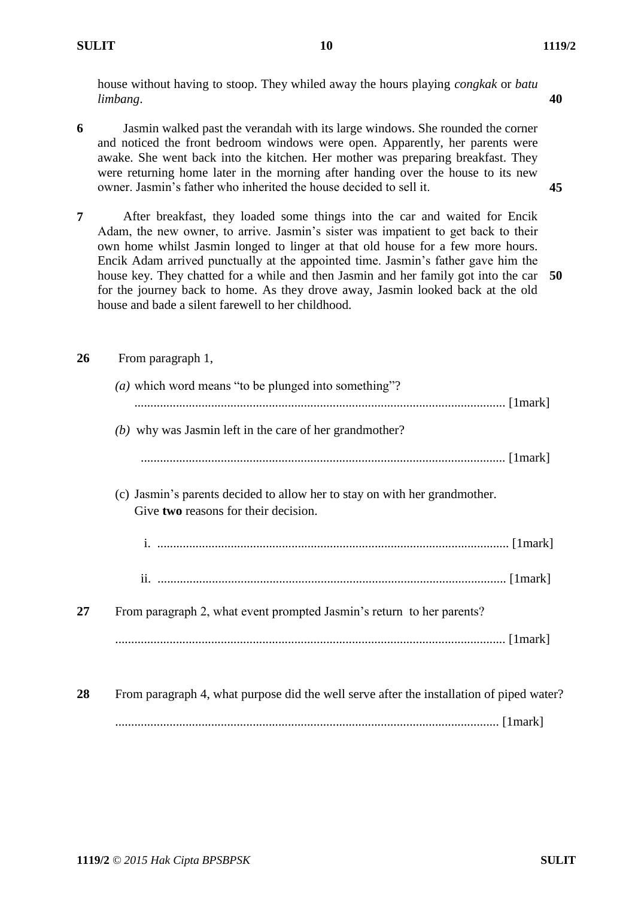**40**

house without having to stoop. They whiled away the hours playing *congkak* or *batu limbang*.

**6** Jasmin walked past the verandah with its large windows. She rounded the corner and noticed the front bedroom windows were open. Apparently, her parents were awake. She went back into the kitchen. Her mother was preparing breakfast. They were returning home later in the morning after handing over the house to its new owner. Jasmin"s father who inherited the house decided to sell it.

**7** After breakfast, they loaded some things into the car and waited for Encik Adam, the new owner, to arrive. Jasmin"s sister was impatient to get back to their own home whilst Jasmin longed to linger at that old house for a few more hours. Encik Adam arrived punctually at the appointed time. Jasmin"s father gave him the house key. They chatted for a while and then Jasmin and her family got into the car for the journey back to home. As they drove away, Jasmin looked back at the old house and bade a silent farewell to her childhood. **50**

**45**

### **26** From paragraph 1,

|    | ( <i>a</i> ) which word means "to be plunged into something"?                                                      |
|----|--------------------------------------------------------------------------------------------------------------------|
|    |                                                                                                                    |
|    | $(b)$ why was Jasmin left in the care of her grandmother?                                                          |
|    |                                                                                                                    |
|    | (c) Jasmin's parents decided to allow her to stay on with her grandmother.<br>Give two reasons for their decision. |
|    |                                                                                                                    |
|    |                                                                                                                    |
| 27 | From paragraph 2, what event prompted Jasmin's return to her parents?                                              |
|    |                                                                                                                    |
| 28 | From paragraph 4, what purpose did the well serve after the installation of piped water?                           |
|    |                                                                                                                    |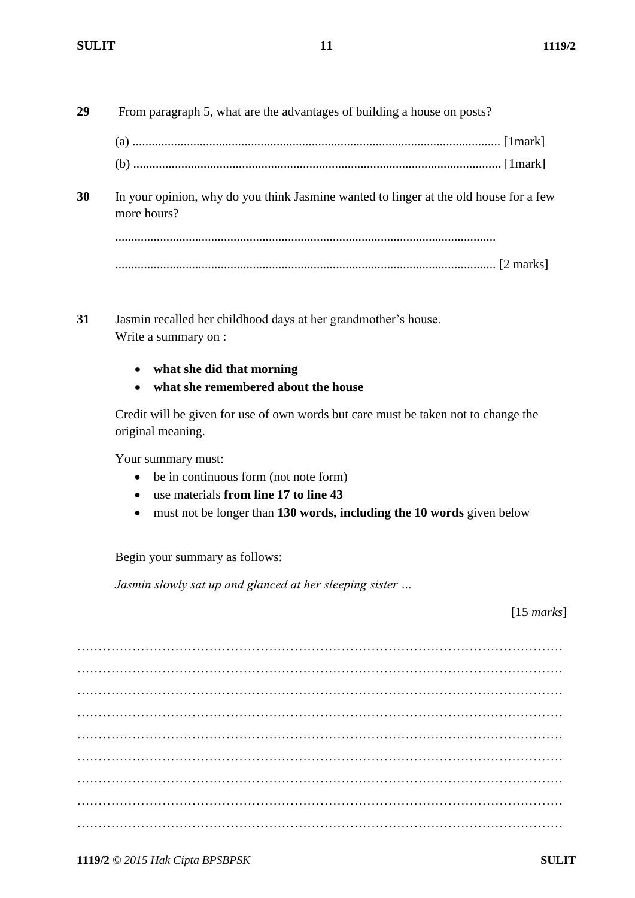- **29** From paragraph 5, what are the advantages of building a house on posts?
	- (a) ................................................................................................................... [1mark]
	- (b) ................................................................................................................... [1mark]
- **30** In your opinion, why do you think Jasmine wanted to linger at the old house for a few more hours?

....................................................................................................................... ....................................................................................................................... [2 marks]

- **31** Jasmin recalled her childhood days at her grandmother"s house. Write a summary on :
	- **what she did that morning**
	- **what she remembered about the house**

Credit will be given for use of own words but care must be taken not to change the original meaning.

Your summary must:

- be in continuous form (not note form)
- use materials **from line 17 to line 43**
- must not be longer than **130 words, including the 10 words** given below

Begin your summary as follows:

*Jasmin slowly sat up and glanced at her sleeping sister …*

[15 *marks*]

…………………………………………………………………………………………………… …………………………………………………………………………………………………… …………………………………………………………………………………………………… …………………………………………………………………………………………………… ……………………………………………………………………………………………………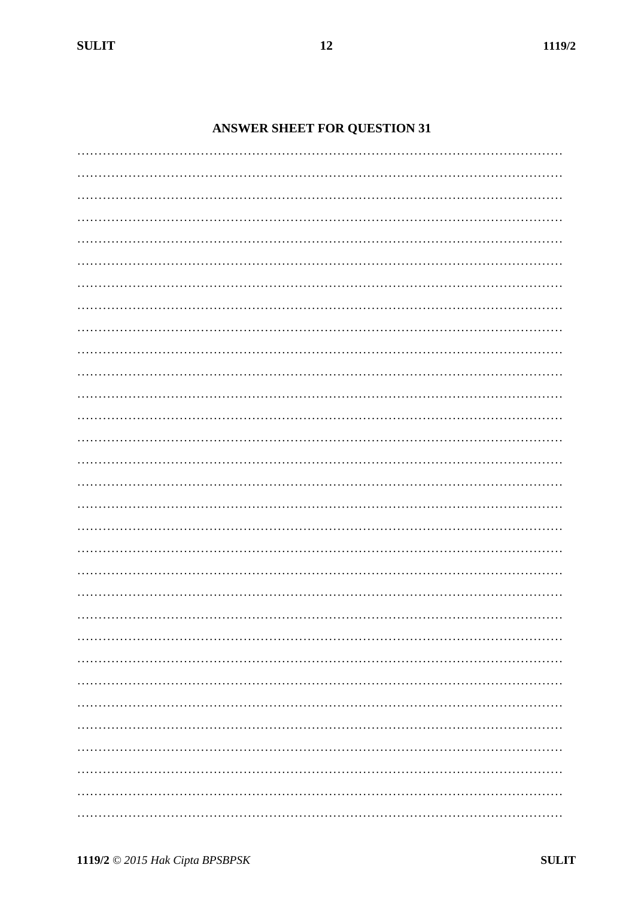# **ANSWER SHEET FOR QUESTION 31**

 $12$ 

1119/2 © 2015 Hak Cipta BPSBPSK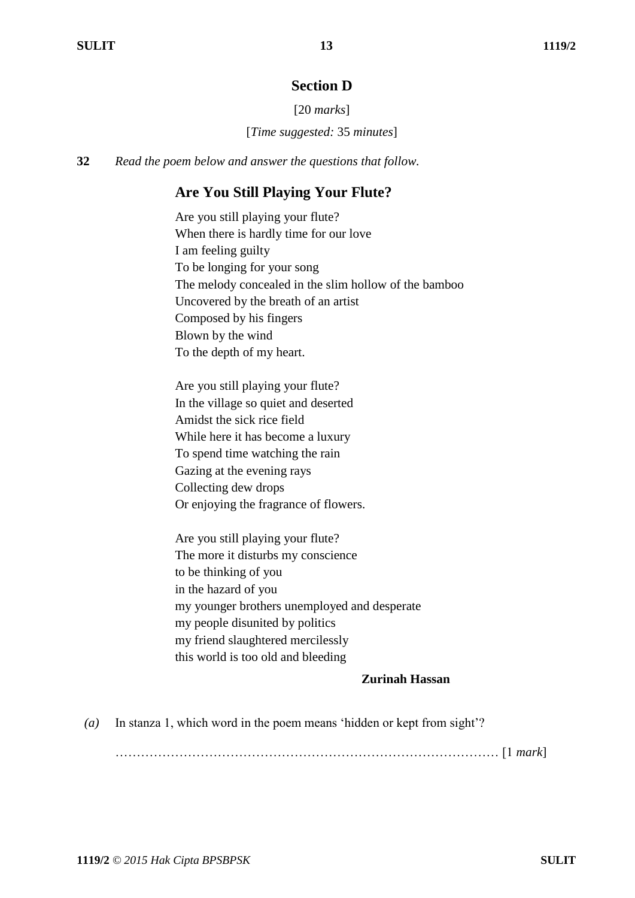# **Section D**

[20 *marks*]

[*Time suggested:* 35 *minutes*]

**32** *Read the poem below and answer the questions that follow.*

# **Are You Still Playing Your Flute?**

Are you still playing your flute? When there is hardly time for our love I am feeling guilty To be longing for your song The melody concealed in the slim hollow of the bamboo Uncovered by the breath of an artist Composed by his fingers Blown by the wind To the depth of my heart.

Are you still playing your flute? In the village so quiet and deserted Amidst the sick rice field While here it has become a luxury To spend time watching the rain Gazing at the evening rays Collecting dew drops Or enjoying the fragrance of flowers.

Are you still playing your flute? The more it disturbs my conscience to be thinking of you in the hazard of you my younger brothers unemployed and desperate my people disunited by politics my friend slaughtered mercilessly this world is too old and bleeding

#### **Zurinah Hassan**

*(a)* In stanza 1, which word in the poem means "hidden or kept from sight"?

……………………………………………………………………………… [1 *mark*]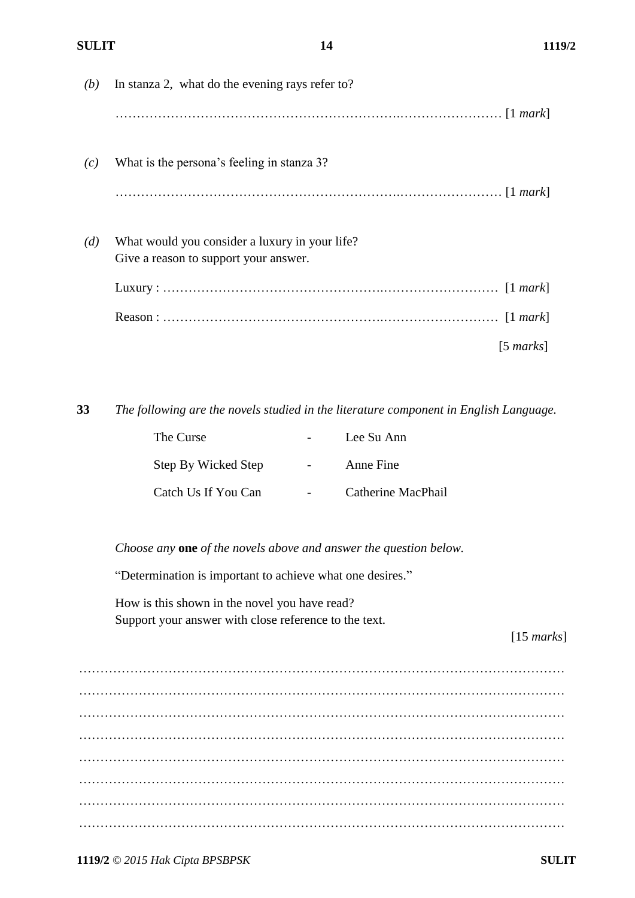| (b) | In stanza 2, what do the evening rays refer to?                                         |
|-----|-----------------------------------------------------------------------------------------|
|     |                                                                                         |
| (c) | What is the persona's feeling in stanza 3?                                              |
|     |                                                                                         |
| (d) | What would you consider a luxury in your life?<br>Give a reason to support your answer. |
|     |                                                                                         |
|     |                                                                                         |
|     | $[5 \text{ marks}]$                                                                     |

**33** *The following are the novels studied in the literature component in English Language.*

| The Curse           | Lee Su Ann         |
|---------------------|--------------------|
| Step By Wicked Step | Anne Fine          |
| Catch Us If You Can | Catherine MacPhail |

*Choose any* **one** *of the novels above and answer the question below.*

"Determination is important to achieve what one desires."

How is this shown in the novel you have read? Support your answer with close reference to the text.

[15 *marks*]

…………………………………………………………………………………………………… …………………………………………………………………………………………………… …………………………………………………………………………………………………… …………………………………………………………………………………………………… …………………………………………………………………………………………………… …………………………………………………………………………………………………… …………………………………………………………………………………………………… ……………………………………………………………………………………………………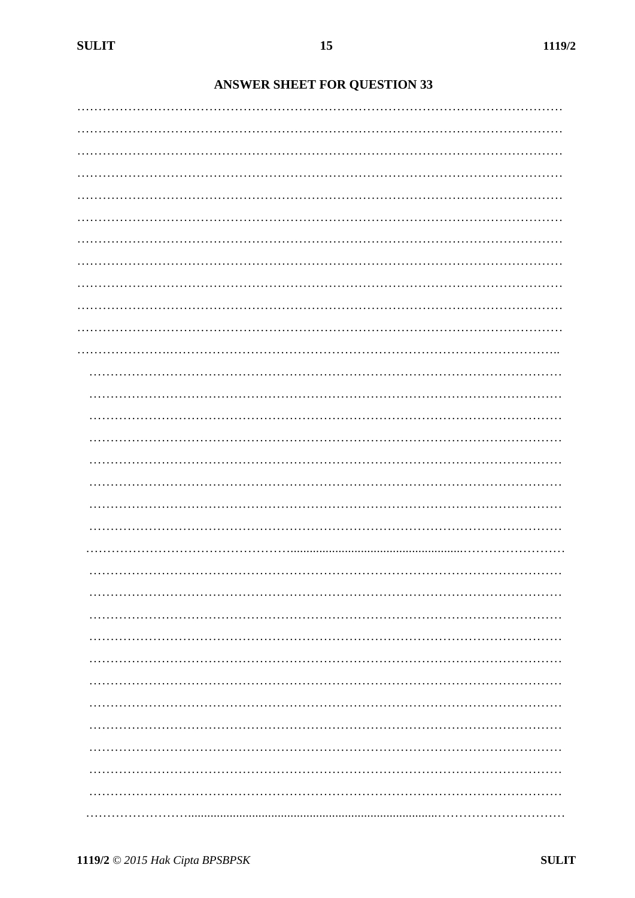# **ANSWER SHEET FOR QUESTION 33**

| . |
|---|
|   |
|   |
|   |
|   |
|   |
|   |
|   |
|   |
|   |
|   |
|   |
|   |
|   |
|   |
|   |
|   |
|   |
|   |
| . |
|   |
|   |
|   |
|   |
|   |
|   |
|   |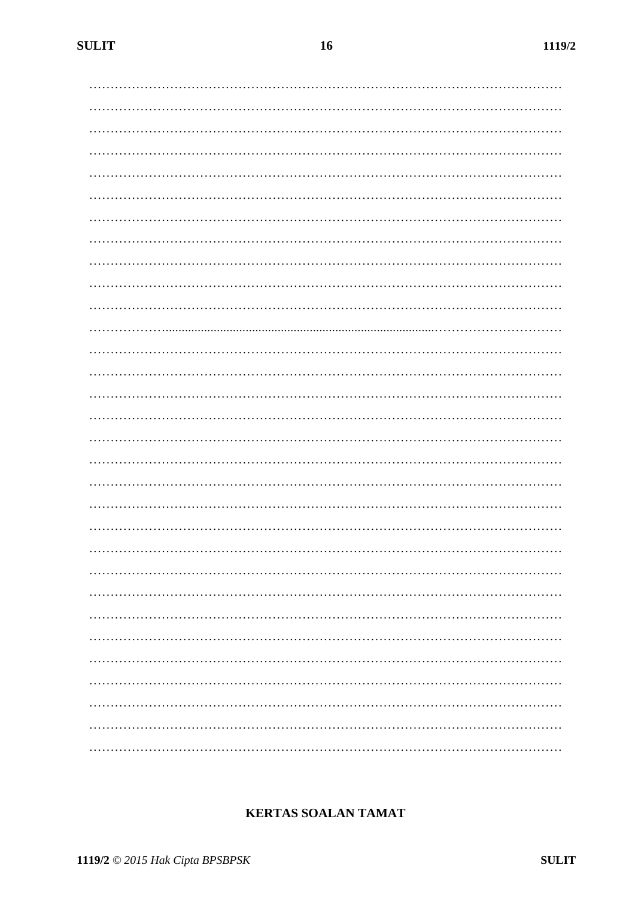**SULIT** 

| . |
|---|
| . |
|   |
|   |

# **KERTAS SOALAN TAMAT**